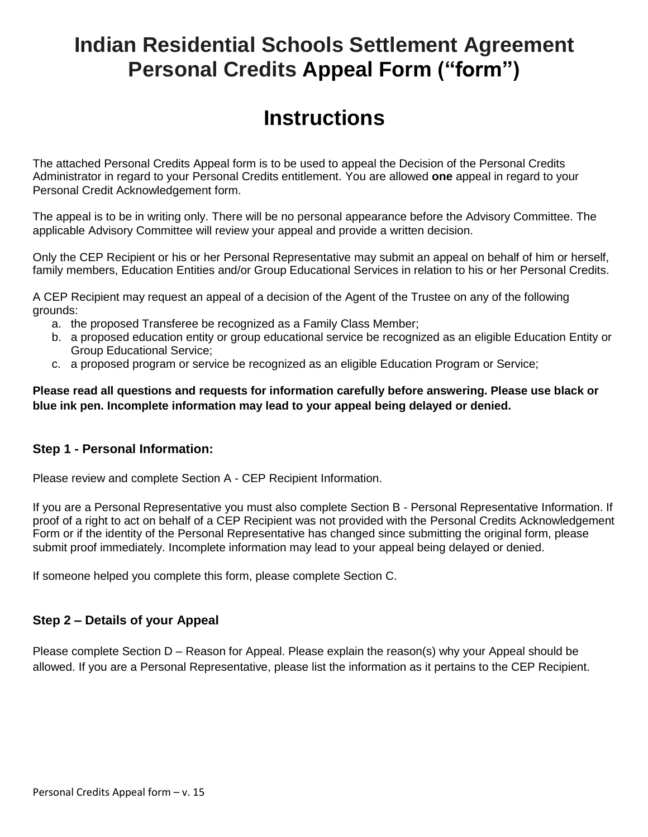# **Indian Residential Schools Settlement Agreement Personal Credits Appeal Form ("form")**

# **Instructions**

The attached Personal Credits Appeal form is to be used to appeal the Decision of the Personal Credits Administrator in regard to your Personal Credits entitlement. You are allowed **one** appeal in regard to your Personal Credit Acknowledgement form.

The appeal is to be in writing only. There will be no personal appearance before the Advisory Committee. The applicable Advisory Committee will review your appeal and provide a written decision.

Only the CEP Recipient or his or her Personal Representative may submit an appeal on behalf of him or herself, family members, Education Entities and/or Group Educational Services in relation to his or her Personal Credits.

A CEP Recipient may request an appeal of a decision of the Agent of the Trustee on any of the following grounds:

- a. the proposed Transferee be recognized as a Family Class Member;
- b. a proposed education entity or group educational service be recognized as an eligible Education Entity or Group Educational Service;
- c. a proposed program or service be recognized as an eligible Education Program or Service;

**Please read all questions and requests for information carefully before answering. Please use black or blue ink pen. Incomplete information may lead to your appeal being delayed or denied.**

### **Step 1 - Personal Information:**

Please review and complete Section A - CEP Recipient Information.

If you are a Personal Representative you must also complete Section B - Personal Representative Information. If proof of a right to act on behalf of a CEP Recipient was not provided with the Personal Credits Acknowledgement Form or if the identity of the Personal Representative has changed since submitting the original form, please submit proof immediately. Incomplete information may lead to your appeal being delayed or denied.

If someone helped you complete this form, please complete Section C.

### **Step 2 – Details of your Appeal**

Please complete Section D – Reason for Appeal. Please explain the reason(s) why your Appeal should be allowed. If you are a Personal Representative, please list the information as it pertains to the CEP Recipient.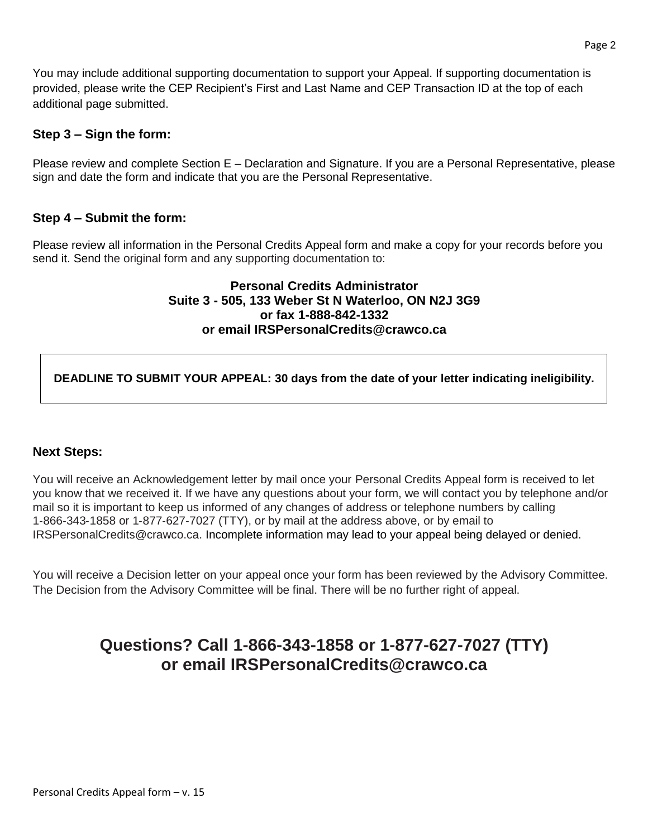You may include additional supporting documentation to support your Appeal. If supporting documentation is provided, please write the CEP Recipient's First and Last Name and CEP Transaction ID at the top of each additional page submitted.

### **Step 3 – Sign the form:**

Please review and complete Section E – Declaration and Signature. If you are a Personal Representative, please sign and date the form and indicate that you are the Personal Representative.

### **Step 4 – Submit the form:**

Please review all information in the Personal Credits Appeal form and make a copy for your records before you send it. Send the original form and any supporting documentation to:

#### **Personal Credits Administrator Suite 3 - 505, 133 Weber St N Waterloo, ON N2J 3G9 or fax 1-888-842-1332 or email IRSPersonalCredits@crawco.ca**

**DEADLINE TO SUBMIT YOUR APPEAL: 30 days from the date of your letter indicating ineligibility.**

### **Next Steps:**

You will receive an Acknowledgement letter by mail once your Personal Credits Appeal form is received to let you know that we received it. If we have any questions about your form, we will contact you by telephone and/or mail so it is important to keep us informed of any changes of address or telephone numbers by calling 1‐866‐343‐1858 or 1‐877‐627‐7027 (TTY), or by mail at the address above, or by email to IRSPersonalCredits@crawco.ca. Incomplete information may lead to your appeal being delayed or denied.

You will receive a Decision letter on your appeal once your form has been reviewed by the Advisory Committee. The Decision from the Advisory Committee will be final. There will be no further right of appeal.

## **Questions? Call 1-866-343-1858 or 1-877-627-7027 (TTY) or email IRSPersonalCredits@crawco.ca**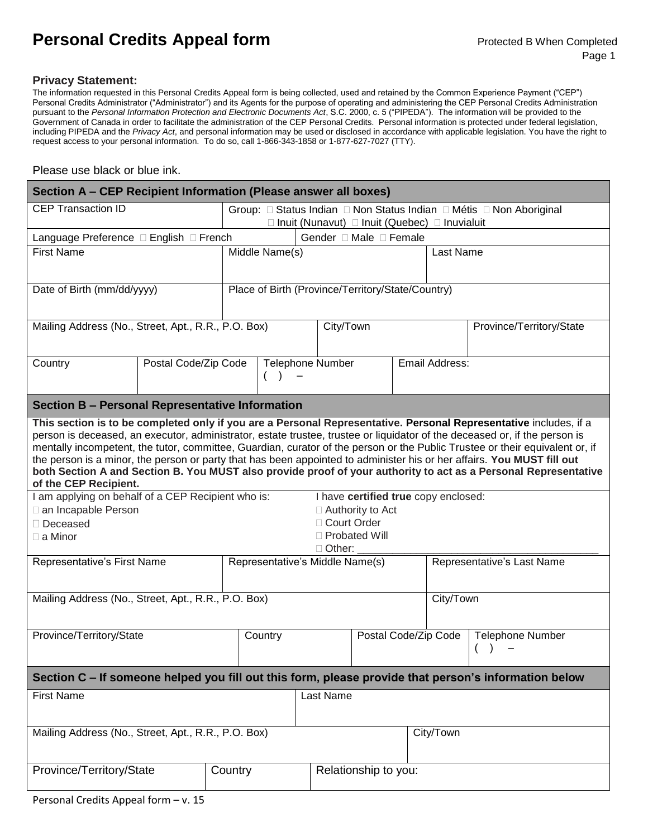# **Personal Credits Appeal form** Protected B When Completed

#### **Privacy Statement:**

The information requested in this Personal Credits Appeal form is being collected, used and retained by the Common Experience Payment ("CEP") Personal Credits Administrator ("Administrator") and its Agents for the purpose of operating and administering the CEP Personal Credits Administration pursuant to the *Personal Information Protection and Electronic Documents Act*, S.C. 2000, c. 5 ("PIPEDA"). The information will be provided to the Government of Canada in order to facilitate the administration of the CEP Personal Credits. Personal information is protected under federal legislation, including PIPEDA and the *Privacy Act*, and personal information may be used or disclosed in accordance with applicable legislation. You have the right to request access to your personal information. To do so, call 1-866-343-1858 or 1-877-627-7027 (TTY).

#### Please use black or blue ink.

| Section A - CEP Recipient Information (Please answer all boxes)                                                                                                                                                                                                                                                                                                                                                                                                                                                                                                                                                                                       |                           |  |                                                                                                                        |                  |                      |                |                            |                          |  |
|-------------------------------------------------------------------------------------------------------------------------------------------------------------------------------------------------------------------------------------------------------------------------------------------------------------------------------------------------------------------------------------------------------------------------------------------------------------------------------------------------------------------------------------------------------------------------------------------------------------------------------------------------------|---------------------------|--|------------------------------------------------------------------------------------------------------------------------|------------------|----------------------|----------------|----------------------------|--------------------------|--|
| <b>CEP Transaction ID</b>                                                                                                                                                                                                                                                                                                                                                                                                                                                                                                                                                                                                                             |                           |  | Group: □ Status Indian □ Non Status Indian □ Métis □ Non Aboriginal<br>□ Inuit (Nunavut) □ Inuit (Quebec) □ Inuvialuit |                  |                      |                |                            |                          |  |
| Language Preference □ English □ French                                                                                                                                                                                                                                                                                                                                                                                                                                                                                                                                                                                                                |                           |  | Gender □ Male □ Female                                                                                                 |                  |                      |                |                            |                          |  |
| <b>First Name</b>                                                                                                                                                                                                                                                                                                                                                                                                                                                                                                                                                                                                                                     |                           |  | Middle Name(s)                                                                                                         |                  |                      |                |                            | Last Name                |  |
| Date of Birth (mm/dd/yyyy)                                                                                                                                                                                                                                                                                                                                                                                                                                                                                                                                                                                                                            |                           |  | Place of Birth (Province/Territory/State/Country)                                                                      |                  |                      |                |                            |                          |  |
| Mailing Address (No., Street, Apt., R.R., P.O. Box)                                                                                                                                                                                                                                                                                                                                                                                                                                                                                                                                                                                                   |                           |  |                                                                                                                        |                  | City/Town            |                |                            | Province/Territory/State |  |
| Country                                                                                                                                                                                                                                                                                                                                                                                                                                                                                                                                                                                                                                               | Postal Code/Zip Code<br>( |  |                                                                                                                        | Telephone Number |                      | Email Address: |                            |                          |  |
| <b>Section B - Personal Representative Information</b>                                                                                                                                                                                                                                                                                                                                                                                                                                                                                                                                                                                                |                           |  |                                                                                                                        |                  |                      |                |                            |                          |  |
| This section is to be completed only if you are a Personal Representative. Personal Representative includes, if a<br>person is deceased, an executor, administrator, estate trustee, trustee or liquidator of the deceased or, if the person is<br>mentally incompetent, the tutor, committee, Guardian, curator of the person or the Public Trustee or their equivalent or, if<br>the person is a minor, the person or party that has been appointed to administer his or her affairs. You MUST fill out<br>both Section A and Section B. You MUST also provide proof of your authority to act as a Personal Representative<br>of the CEP Recipient. |                           |  |                                                                                                                        |                  |                      |                |                            |                          |  |
| I am applying on behalf of a CEP Recipient who is:<br>□ an Incapable Person<br>$\Box$ Deceased<br>$\Box$ a Minor                                                                                                                                                                                                                                                                                                                                                                                                                                                                                                                                      |                           |  | I have certified true copy enclosed:<br>$\Box$ Authority to Act<br>□ Court Order<br>□ Probated Will<br>$\Box$ Other:   |                  |                      |                |                            |                          |  |
| Representative's First Name                                                                                                                                                                                                                                                                                                                                                                                                                                                                                                                                                                                                                           |                           |  | Representative's Middle Name(s)                                                                                        |                  |                      |                | Representative's Last Name |                          |  |
| Mailing Address (No., Street, Apt., R.R., P.O. Box)                                                                                                                                                                                                                                                                                                                                                                                                                                                                                                                                                                                                   |                           |  |                                                                                                                        |                  |                      |                | City/Town                  |                          |  |
| Province/Territory/State                                                                                                                                                                                                                                                                                                                                                                                                                                                                                                                                                                                                                              |                           |  | Country                                                                                                                |                  | Postal Code/Zip Code |                |                            | <b>Telephone Number</b>  |  |
| Section C - If someone helped you fill out this form, please provide that person's information below                                                                                                                                                                                                                                                                                                                                                                                                                                                                                                                                                  |                           |  |                                                                                                                        |                  |                      |                |                            |                          |  |
| <b>First Name</b>                                                                                                                                                                                                                                                                                                                                                                                                                                                                                                                                                                                                                                     |                           |  |                                                                                                                        | Last Name        |                      |                |                            |                          |  |
| Mailing Address (No., Street, Apt., R.R., P.O. Box)                                                                                                                                                                                                                                                                                                                                                                                                                                                                                                                                                                                                   |                           |  |                                                                                                                        |                  |                      |                | City/Town                  |                          |  |
| Province/Territory/State                                                                                                                                                                                                                                                                                                                                                                                                                                                                                                                                                                                                                              | Country                   |  |                                                                                                                        |                  | Relationship to you: |                |                            |                          |  |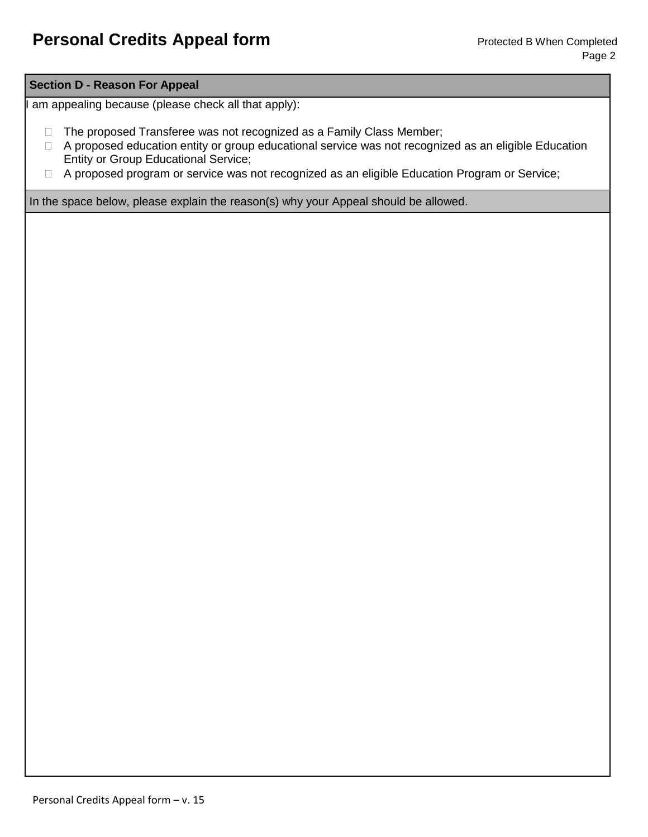#### **Section D - Reason For Appeal**

am appealing because (please check all that apply):

- □ The proposed Transferee was not recognized as a Family Class Member;
- □ A proposed education entity or group educational service was not recognized as an eligible Education Entity or Group Educational Service;
- □ A proposed program or service was not recognized as an eligible Education Program or Service;

In the space below, please explain the reason(s) why your Appeal should be allowed.